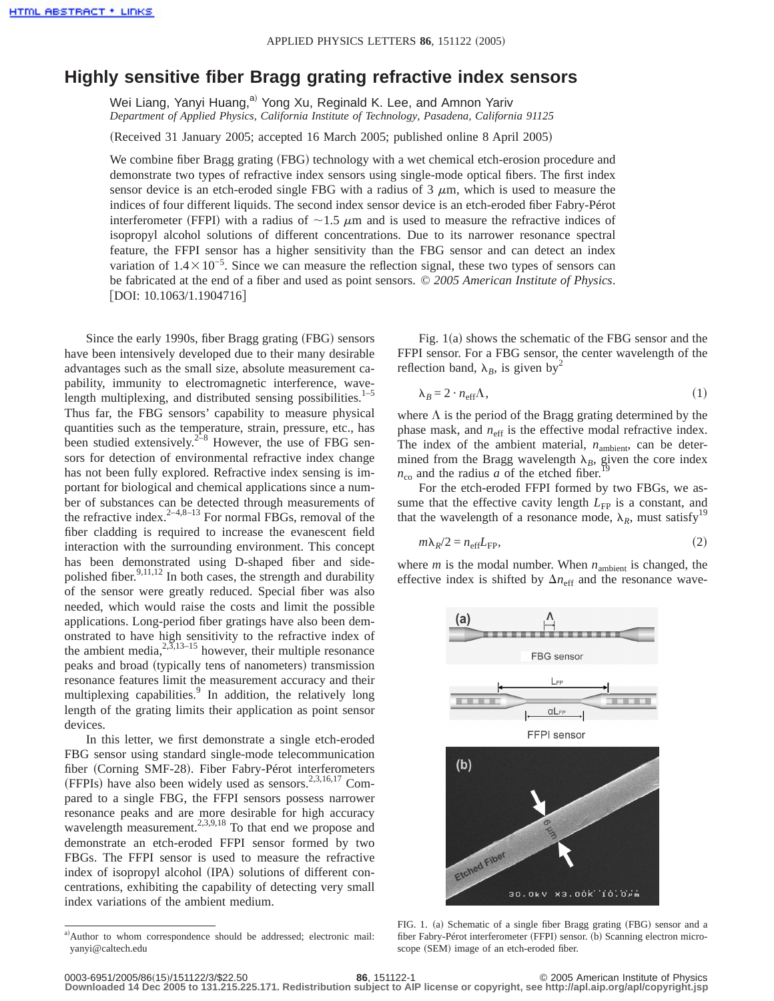## **Highly sensitive fiber Bragg grating refractive index sensors**

Wei Liang, Yanyi Huang,<sup>a)</sup> Yong Xu, Reginald K. Lee, and Amnon Yariv *Department of Applied Physics, California Institute of Technology, Pasadena, California 91125*

(Received 31 January 2005; accepted 16 March 2005; published online 8 April 2005)

We combine fiber Bragg grating (FBG) technology with a wet chemical etch-erosion procedure and demonstrate two types of refractive index sensors using single-mode optical fibers. The first index sensor device is an etch-eroded single FBG with a radius of  $3 \mu m$ , which is used to measure the indices of four different liquids. The second index sensor device is an etch-eroded fiber Fabry-Pérot interferometer (FFPI) with a radius of  $\sim$ 1.5  $\mu$ m and is used to measure the refractive indices of isopropyl alcohol solutions of different concentrations. Due to its narrower resonance spectral feature, the FFPI sensor has a higher sensitivity than the FBG sensor and can detect an index variation of  $1.4 \times 10^{-5}$ . Since we can measure the reflection signal, these two types of sensors can be fabricated at the end of a fiber and used as point sensors. © *2005 American Institute of Physics*.  $[DOI: 10.1063/1.1904716]$ 

Since the early 1990s, fiber Bragg grating (FBG) sensors have been intensively developed due to their many desirable advantages such as the small size, absolute measurement capability, immunity to electromagnetic interference, wavelength multiplexing, and distributed sensing possibilities. $1-5$ Thus far, the FBG sensors' capability to measure physical quantities such as the temperature, strain, pressure, etc., has been studied extensively.<sup>2–8</sup> However, the use of FBG sensors for detection of environmental refractive index change has not been fully explored. Refractive index sensing is important for biological and chemical applications since a number of substances can be detected through measurements of the refractive index.<sup>2–4,8–13</sup> For normal FBGs, removal of the fiber cladding is required to increase the evanescent field interaction with the surrounding environment. This concept has been demonstrated using D-shaped fiber and sidepolished fiber.<sup>9,11,12</sup> In both cases, the strength and durability of the sensor were greatly reduced. Special fiber was also needed, which would raise the costs and limit the possible applications. Long-period fiber gratings have also been demonstrated to have high sensitivity to the refractive index of the ambient media,  $2,3,13-15$  however, their multiple resonance peaks and broad (typically tens of nanometers) transmission resonance features limit the measurement accuracy and their multiplexing capabilities.<sup>9</sup> In addition, the relatively long length of the grating limits their application as point sensor devices.

In this letter, we first demonstrate a single etch-eroded FBG sensor using standard single-mode telecommunication fiber (Corning SMF-28). Fiber Fabry-Pérot interferometers (FFPIs) have also been widely used as sensors.<sup>2,3,16,17</sup> Compared to a single FBG, the FFPI sensors possess narrower resonance peaks and are more desirable for high accuracy wavelength measurement.<sup>2,3,9,18</sup> To that end we propose and demonstrate an etch-eroded FFPI sensor formed by two FBGs. The FFPI sensor is used to measure the refractive index of isopropyl alcohol (IPA) solutions of different concentrations, exhibiting the capability of detecting very small index variations of the ambient medium.

Fig.  $1(a)$  shows the schematic of the FBG sensor and the FFPI sensor. For a FBG sensor, the center wavelength of the reflection band,  $\lambda_B$ , is given by<sup>2</sup>

$$
\lambda_B = 2 \cdot n_{\text{eff}} \Lambda, \tag{1}
$$

where  $\Lambda$  is the period of the Bragg grating determined by the phase mask, and  $n_{\text{eff}}$  is the effective modal refractive index. The index of the ambient material,  $n_{\text{ambient}}$ , can be determined from the Bragg wavelength  $\lambda_B$ , given the core index  $n_{\rm co}$  and the radius *a* of the etched fiber.<sup>19</sup>

For the etch-eroded FFPI formed by two FBGs, we assume that the effective cavity length  $L_{FP}$  is a constant, and that the wavelength of a resonance mode,  $\lambda_R$ , must satisfy<sup>19</sup>

$$
m\lambda_R/2 = n_{\rm eff}L_{\rm FP},\tag{2}
$$

where  $m$  is the modal number. When  $n_{\text{ambient}}$  is changed, the effective index is shifted by  $\Delta n_{\text{eff}}$  and the resonance wave-



FIG. 1. (a) Schematic of a single fiber Bragg grating (FBG) sensor and a fiber Fabry-Pérot interferometer (FFPI) sensor. (b) Scanning electron microscope (SEM) image of an etch-eroded fiber.

a)Author to whom correspondence should be addressed; electronic mail: yanyi@caltech.edu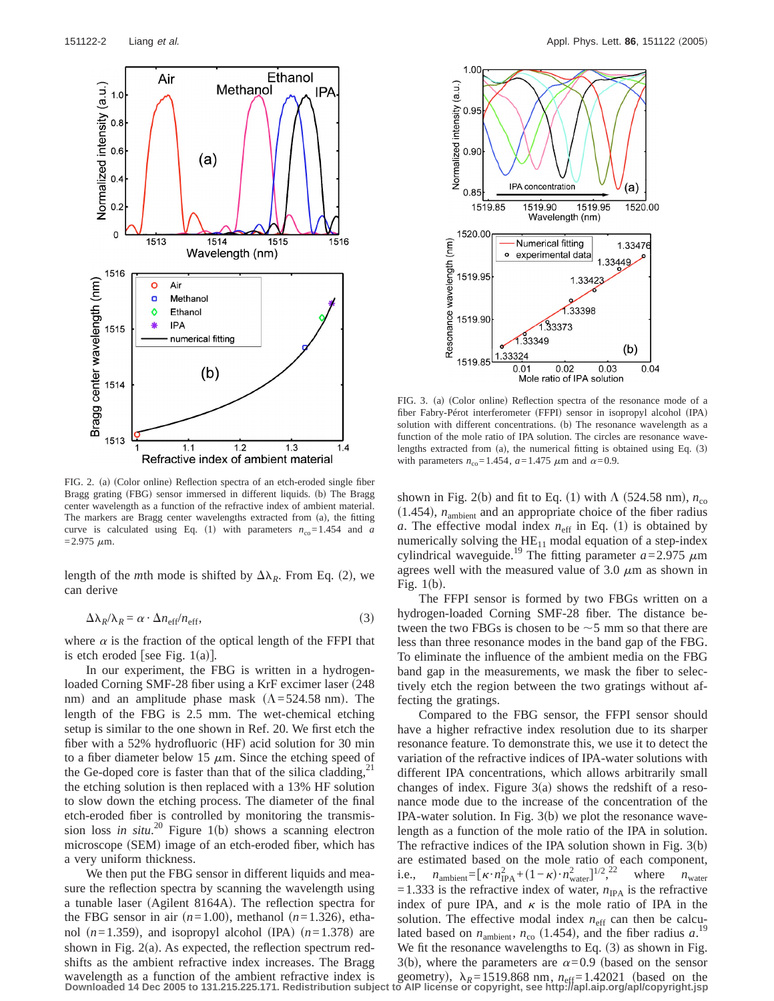

FIG. 2. (a) (Color online) Reflection spectra of an etch-eroded single fiber Bragg grating (FBG) sensor immersed in different liquids. (b) The Bragg center wavelength as a function of the refractive index of ambient material. The markers are Bragg center wavelengths extracted from (a), the fitting curve is calculated using Eq. (1) with parameters  $n_{\text{co}}=1.454$  and *a*  $=$  2.975  $\mu$ m.

length of the *m*th mode is shifted by  $\Delta\lambda_R$ . From Eq. (2), we can derive

$$
\Delta \lambda_R / \lambda_R = \alpha \cdot \Delta n_{\rm eff} / n_{\rm eff}, \qquad (3)
$$

where  $\alpha$  is the fraction of the optical length of the FFPI that is etch eroded [see Fig.  $1(a)$ ].

In our experiment, the FBG is written in a hydrogenloaded Corning SMF-28 fiber using a KrF excimer laser (248) nm) and an amplitude phase mask  $(\Lambda = 524.58 \text{ nm})$ . The length of the FBG is 2.5 mm. The wet-chemical etching setup is similar to the one shown in Ref. 20. We first etch the fiber with a  $52\%$  hydrofluoric (HF) acid solution for 30 min to a fiber diameter below 15  $\mu$ m. Since the etching speed of the Ge-doped core is faster than that of the silica cladding, $^{21}$ the etching solution is then replaced with a 13% HF solution to slow down the etching process. The diameter of the final etch-eroded fiber is controlled by monitoring the transmission loss *in situ*.<sup>20</sup> Figure 1(b) shows a scanning electron microscope (SEM) image of an etch-eroded fiber, which has a very uniform thickness.

We then put the FBG sensor in different liquids and measure the reflection spectra by scanning the wavelength using a tunable laser (Agilent 8164A). The reflection spectra for the FBG sensor in air  $(n=1.00)$ , methanol  $(n=1.326)$ , ethanol  $(n=1.359)$ , and isopropyl alcohol (IPA)  $(n=1.378)$  are shown in Fig.  $2(a)$ . As expected, the reflection spectrum redshifts as the ambient refractive index increases. The Bragg wavelength as a function of the ambient refractive index is geometry),  $\lambda_R = 1519.868$  nm,  $n_{eff} = 1.42021$  (based on the Downloaded 14 Dec 2005 to 131.215.225.171. Redistribution subject to AIP license or copyright, see h



FIG. 3. (a) (Color online) Reflection spectra of the resonance mode of a fiber Fabry-Pérot interferometer (FFPI) sensor in isopropyl alcohol (IPA) solution with different concentrations. (b) The resonance wavelength as a function of the mole ratio of IPA solution. The circles are resonance wavelengths extracted from (a), the numerical fitting is obtained using Eq.  $(3)$ with parameters  $n_{\text{co}} = 1.454$ ,  $a = 1.475$   $\mu$ m and  $\alpha = 0.9$ .

shown in Fig. 2(b) and fit to Eq. (1) with  $\Lambda$  (524.58 nm),  $n_{\rm co}$  $(1.454)$ ,  $n<sub>ambient</sub>$  and an appropriate choice of the fiber radius *a*. The effective modal index  $n_{\text{eff}}$  in Eq. (1) is obtained by numerically solving the  $HE_{11}$  modal equation of a step-index cylindrical waveguide.<sup>19</sup> The fitting parameter  $a = 2.975 \mu m$ agrees well with the measured value of 3.0  $\mu$ m as shown in Fig.  $1(b)$ .

The FFPI sensor is formed by two FBGs written on a hydrogen-loaded Corning SMF-28 fiber. The distance between the two FBGs is chosen to be  $\sim$  5 mm so that there are less than three resonance modes in the band gap of the FBG. To eliminate the influence of the ambient media on the FBG band gap in the measurements, we mask the fiber to selectively etch the region between the two gratings without affecting the gratings.

Compared to the FBG sensor, the FFPI sensor should have a higher refractive index resolution due to its sharper resonance feature. To demonstrate this, we use it to detect the variation of the refractive indices of IPA-water solutions with different IPA concentrations, which allows arbitrarily small changes of index. Figure  $3(a)$  shows the redshift of a resonance mode due to the increase of the concentration of the IPA-water solution. In Fig.  $3(b)$  we plot the resonance wavelength as a function of the mole ratio of the IPA in solution. The refractive indices of the IPA solution shown in Fig.  $3(b)$ are estimated based on the mole ratio of each component, i.e.,  $n_{\text{ambient}} = [\kappa \cdot n_{\text{IPA}}^2 + (1 - \kappa) \cdot n_{\text{water}}^2]^{1/2}$ , where  $n_{\text{water}}$  $=1.333$  is the refractive index of water,  $n_{\text{IPA}}$  is the refractive index of pure IPA, and  $\kappa$  is the mole ratio of IPA in the solution. The effective modal index  $n_{\text{eff}}$  can then be calculated based on  $n_{\text{ambient}}$ ,  $n_{\text{co}}$  (1.454), and the fiber radius  $a$ .<sup>19</sup> We fit the resonance wavelengths to Eq.  $(3)$  as shown in Fig. 3(b), where the parameters are  $\alpha$ =0.9 (based on the sensor